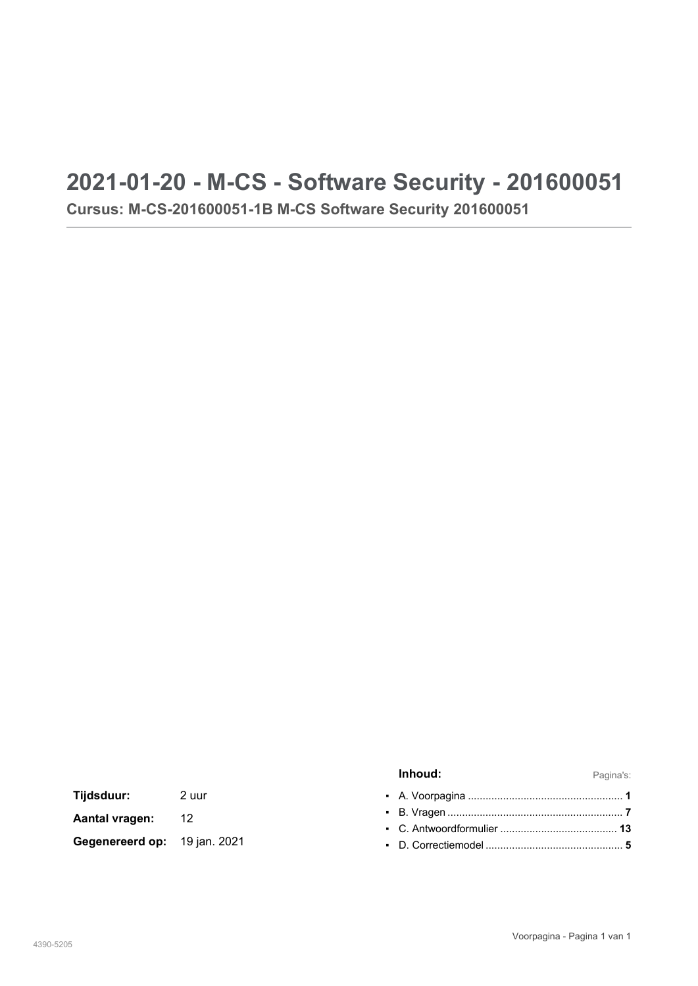# <span id="page-0-0"></span>**2021-01-20 - M-CS - Software Security - 201600051**

**Cursus: M-CS-201600051-1B M-CS Software Security 201600051**

<span id="page-0-1"></span>

|                                                          |       | Inhoud: | Pagina's: |
|----------------------------------------------------------|-------|---------|-----------|
| Tijdsduur:                                               | 2 uur |         |           |
| <b>Aantal vragen:</b> 12<br>Gegenereerd op: 19 jan. 2021 |       |         |           |
|                                                          |       |         |           |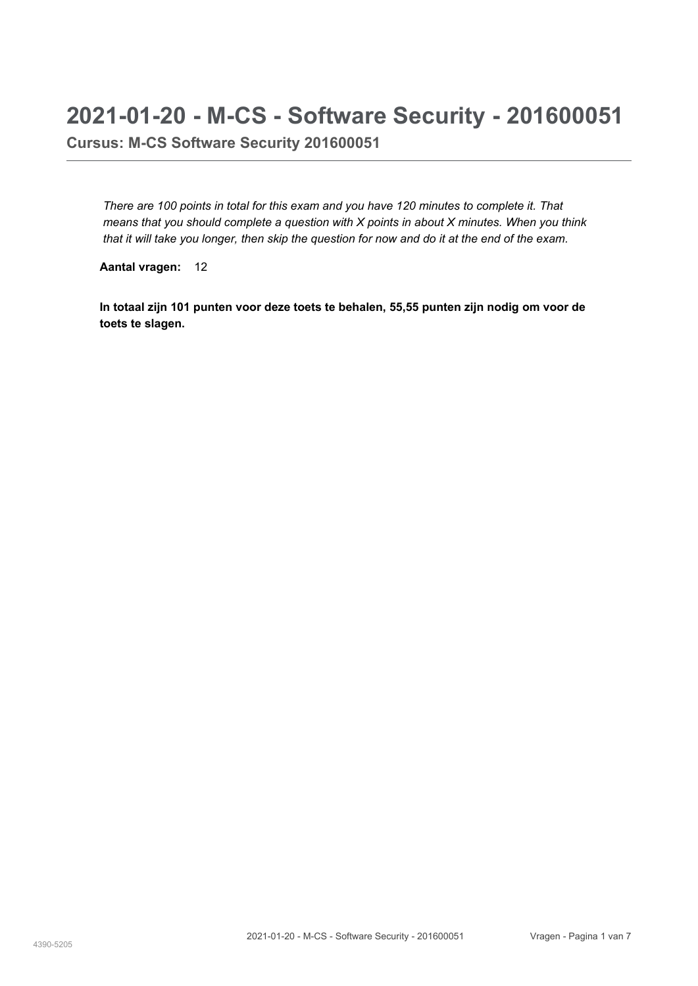# <span id="page-1-0"></span>**2021-01-20 - M-CS - Software Security - 201600051**

**Cursus: M-CS Software Security 201600051**

*There are 100 points in total for this exam and you have 120 minutes to complete it. That means that you should complete a question with X points in about X minutes. When you think that it will take you longer, then skip the question for now and do it at the end of the exam.*

**Aantal vragen:** 12

**In totaal zijn 101 punten voor deze toets te behalen, 55,55 punten zijn nodig om voor de toets te slagen.**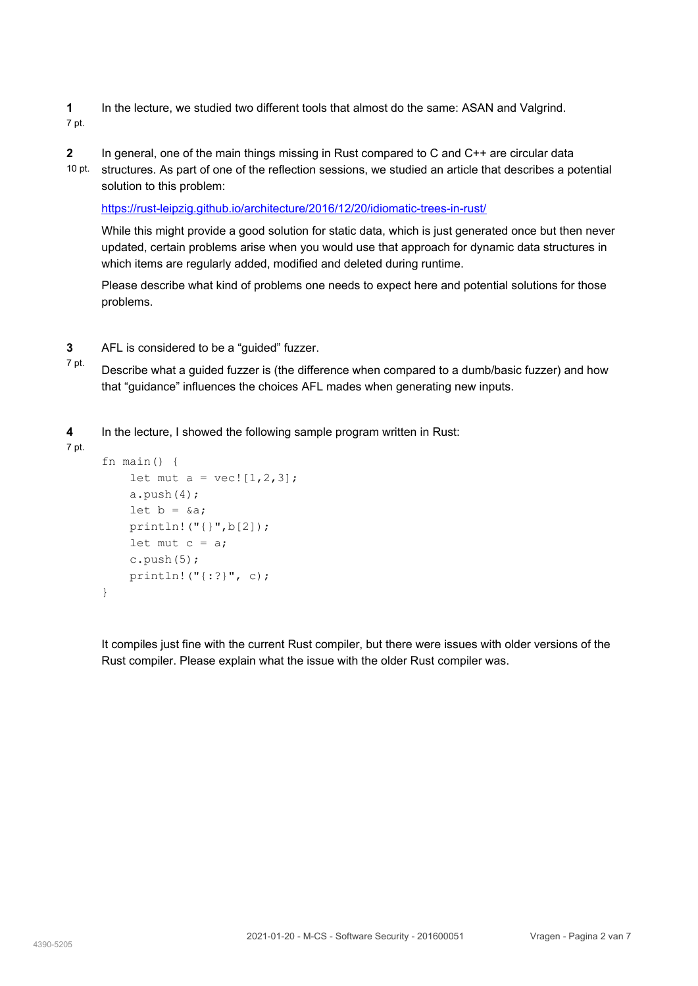- **1** In the lecture, we studied two different tools that almost do the same: ASAN and Valgrind. 7 pt.
- In general, one of the main things missing in Rust compared to C and C++ are circular data **2**
- 10 pt. structures. As part of one of the reflection sessions, we studied an article that describes a potential solution to this problem:

<https://rust-leipzig.github.io/architecture/2016/12/20/idiomatic-trees-in-rust/>

While this might provide a good solution for static data, which is just generated once but then never updated, certain problems arise when you would use that approach for dynamic data structures in which items are regularly added, modified and deleted during runtime.

Please describe what kind of problems one needs to expect here and potential solutions for those problems.

- AFL is considered to be a "guided" fuzzer. **3**
- Describe what a guided fuzzer is (the difference when compared to a dumb/basic fuzzer) and how that "guidance" influences the choices AFL mades when generating new inputs. 7 pt.
- In the lecture, I showed the following sample program written in Rust: **4**

```
fn main() {
         let mut a = vec:[1, 2, 3];a.push(4);
         let b = \&a;
         println!("{}",b[2]);
         let mut c = a;
         c.push(5);
         println!("{:?}", c);
     }
7 pt.
```
It compiles just fine with the current Rust compiler, but there were issues with older versions of the Rust compiler. Please explain what the issue with the older Rust compiler was.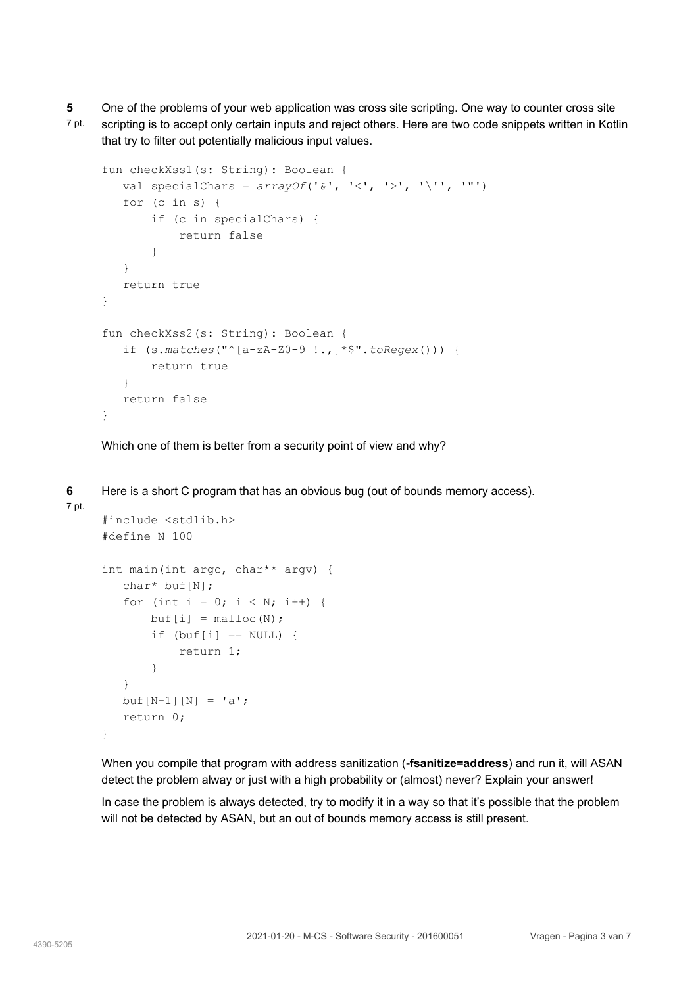- One of the problems of your web application was cross site scripting. One way to counter cross site **5**
- scripting is to accept only certain inputs and reject others. Here are two code snippets written in Kotlin that try to filter out potentially malicious input values. 7 pt.

```
fun checkXss1(s: String): Boolean {
  val specialChars = arrayOf('&', '<, '>, '\\for (c in s) {
      if (c in specialChars) {
          return false
      }
  }
  return true
}
fun checkXss2(s: String): Boolean {
  if (s.matches("^[a-zA-Z0-9 !.,]*$".toRegex())) {
      return true
  }
  return false
}
```
Which one of them is better from a security point of view and why?

Here is a short C program that has an obvious bug (out of bounds memory access). **6** 7 pt.

```
#include <stdlib.h>
#define N 100
int main(int argc, char** argv) {
  char* buf[N];
   for (int i = 0; i < N; i++) {
       buf[i] = malloc(N);
       if (buf[i] == NULL) {
           return 1;
       }
   }
  buf[N-1][N] = 'a';return 0;
}
```
When you compile that program with address sanitization (**-fsanitize=address**) and run it, will ASAN detect the problem alway or just with a high probability or (almost) never? Explain your answer!

In case the problem is always detected, try to modify it in a way so that it's possible that the problem will not be detected by ASAN, but an out of bounds memory access is still present.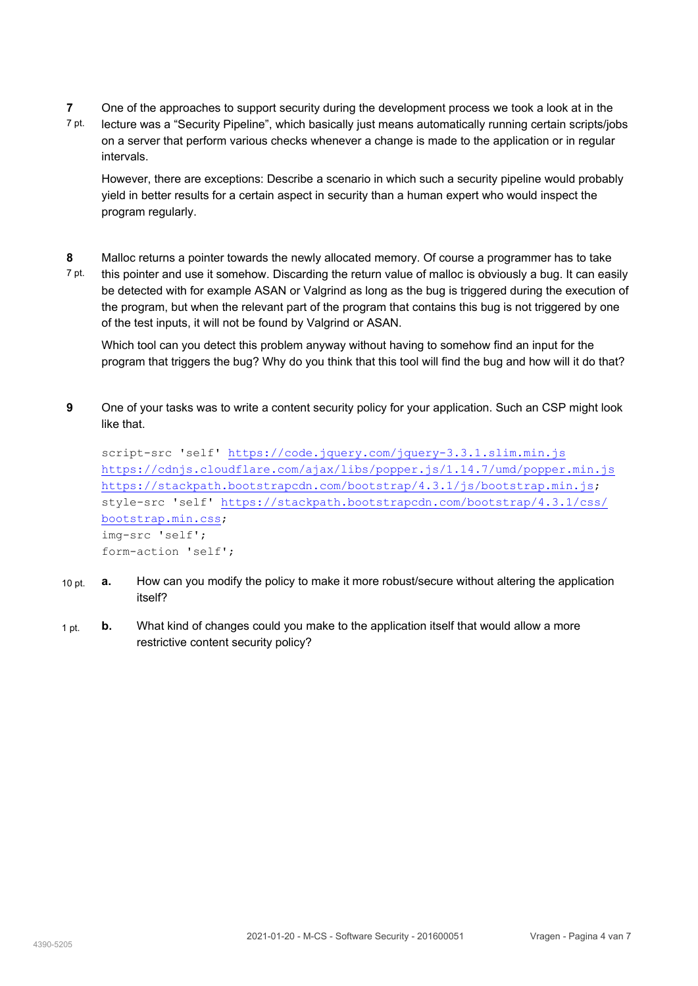- One of the approaches to support security during the development process we took a look at in the **7**
- lecture was a "Security Pipeline", which basically just means automatically running certain scripts/jobs on a server that perform various checks whenever a change is made to the application or in regular intervals. 7 pt.

However, there are exceptions: Describe a scenario in which such a security pipeline would probably yield in better results for a certain aspect in security than a human expert who would inspect the program regularly.

- Malloc returns a pointer towards the newly allocated memory. Of course a programmer has to take **8**
- this pointer and use it somehow. Discarding the return value of malloc is obviously a bug. It can easily be detected with for example ASAN or Valgrind as long as the bug is triggered during the execution of the program, but when the relevant part of the program that contains this bug is not triggered by one of the test inputs, it will not be found by Valgrind or ASAN. 7 pt.

Which tool can you detect this problem anyway without having to somehow find an input for the program that triggers the bug? Why do you think that this tool will find the bug and how will it do that?

One of your tasks was to write a content security policy for your application. Such an CSP might look like that. **9**

```
script-src 'self' https://code.jquery.com/jquery-3.3.1.slim.min.js
https://cdnjs.cloudflare.com/ajax/libs/popper.js/1.14.7/umd/popper.min.js
https://stackpath.bootstrapcdn.com/bootstrap/4.3.1/js/bootstrap.min.js;
style-src 'self' https://stackpath.bootstrapcdn.com/bootstrap/4.3.1/css/
bootstrap.min.css;
img-src 'self';
form-action 'self';
```
- How can you modify the policy to make it more robust/secure without altering the application itself? 10 pt. **a.**
- What kind of changes could you make to the application itself that would allow a more restrictive content security policy? 1 pt. **b.**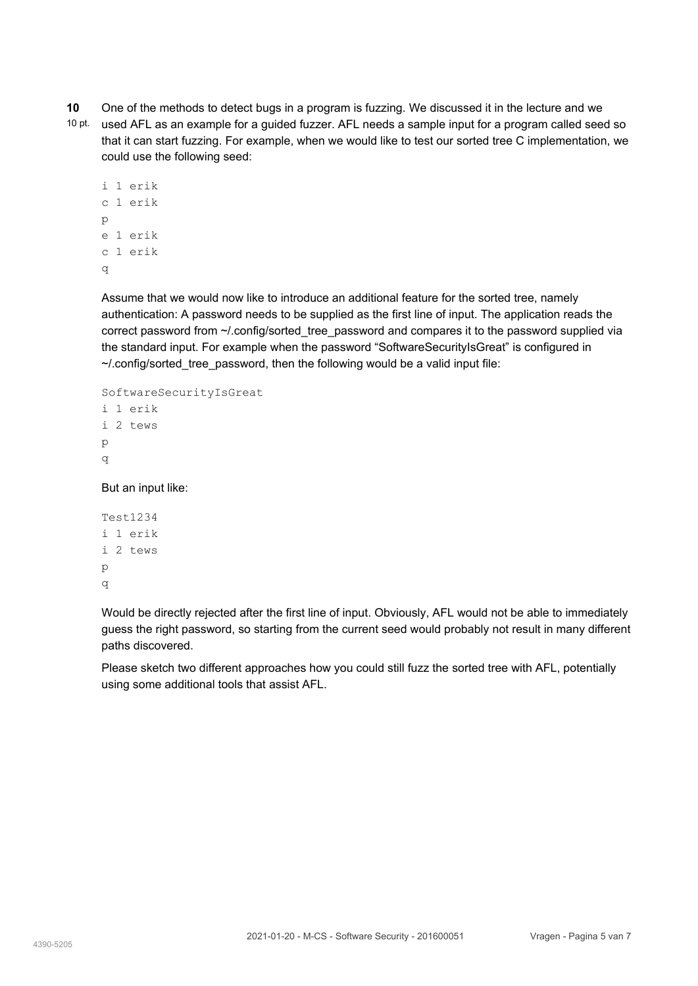One of the methods to detect bugs in a program is fuzzing. We discussed it in the lecture and we **10**

10 pt. used AFL as an example for a guided fuzzer. AFL needs a sample input for a program called seed so that it can start fuzzing. For example, when we would like to test our sorted tree C implementation, we could use the following seed:

```
i 1 erik
c 1 erik
p
e 1 erik
c 1 erik
q
```
Assume that we would now like to introduce an additional feature for the sorted tree, namely authentication: A password needs to be supplied as the first line of input. The application reads the correct password from ~/.config/sorted tree\_password and compares it to the password supplied via the standard input. For example when the password "SoftwareSecurityIsGreat" is configured in ~/.config/sorted\_tree\_password, then the following would be a valid input file:

```
SoftwareSecurityIsGreat
i 1 erik
i 2 tews
p
q
But an input like:
```

```
Test1234
i 1 erik
i 2 tews
p
q
```
Would be directly rejected after the first line of input. Obviously, AFL would not be able to immediately guess the right password, so starting from the current seed would probably not result in many different paths discovered.

Please sketch two different approaches how you could still fuzz the sorted tree with AFL, potentially using some additional tools that assist AFL.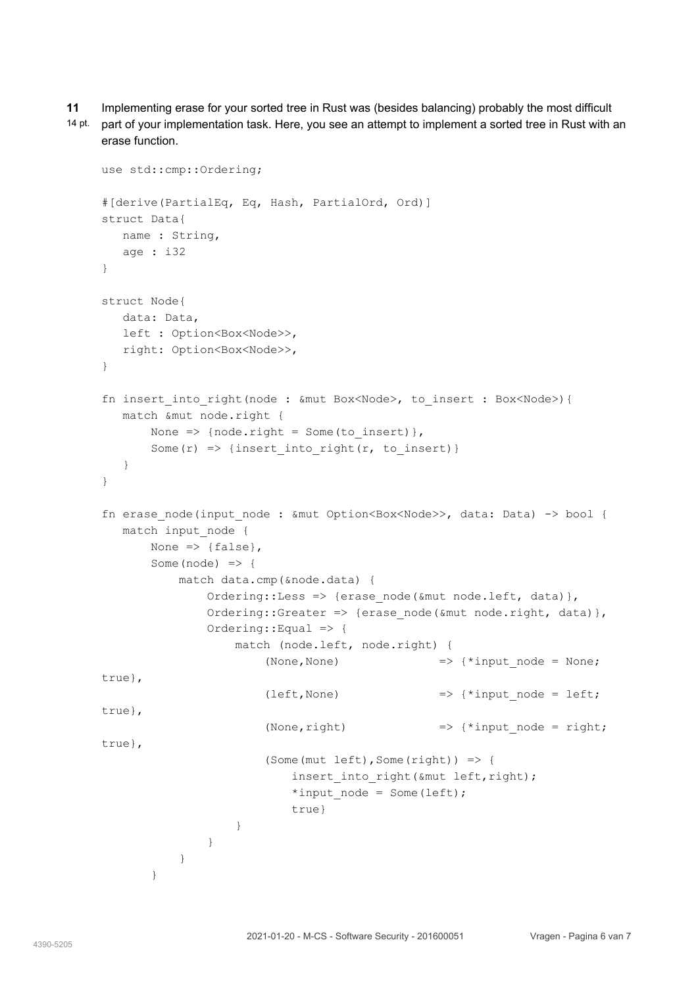- Implementing erase for your sorted tree in Rust was (besides balancing) probably the most difficult **11**
- 14 pt. part of your implementation task. Here, you see an attempt to implement a sorted tree in Rust with an erase function.

```
use std::cmp::Ordering;
#[derive(PartialEq, Eq, Hash, PartialOrd, Ord)]
struct Data{
   name : String,
   age : i32
}
struct Node{
   data: Data,
  left : Option<Box<Node>>,
  right: Option<Box<Node>>,
}
fn insert into right(node : &mut Box<Node>, to insert : Box<Node>){
   match &mut node.right {
      None => {node.right = Some(to insert)},
       Some(r) => {insert into right(r, to insert)}
   }
}
fn erase_node(input_node : &mut Option<Box<Node>>, data: Data) -> bool {
   match input node {
       None \Rightarrow {false},
       Some(node) \Rightarrow {
           match data.cmp(&node.data) {
               Ordering::Less => {erase node(&mut node.left, data) },
               Ordering::Greater => {erase node(&mut node.right, data)},
               Ordering::Equal => {
                   match (node.left, node.right) {
                        (None, None) \Rightarrow {*input node = None;
true},
                        (left, None) \Rightarrow {*input node = left;
true},
                        (None, right) \Rightarrow {*input node = right;
true},
                        (Some(mut left), Some(right)) \Rightarrow {
                            insert into right(&mut left, right);
                            *input node = Some(left);
                            true}
                   }
              }
           }
       }
```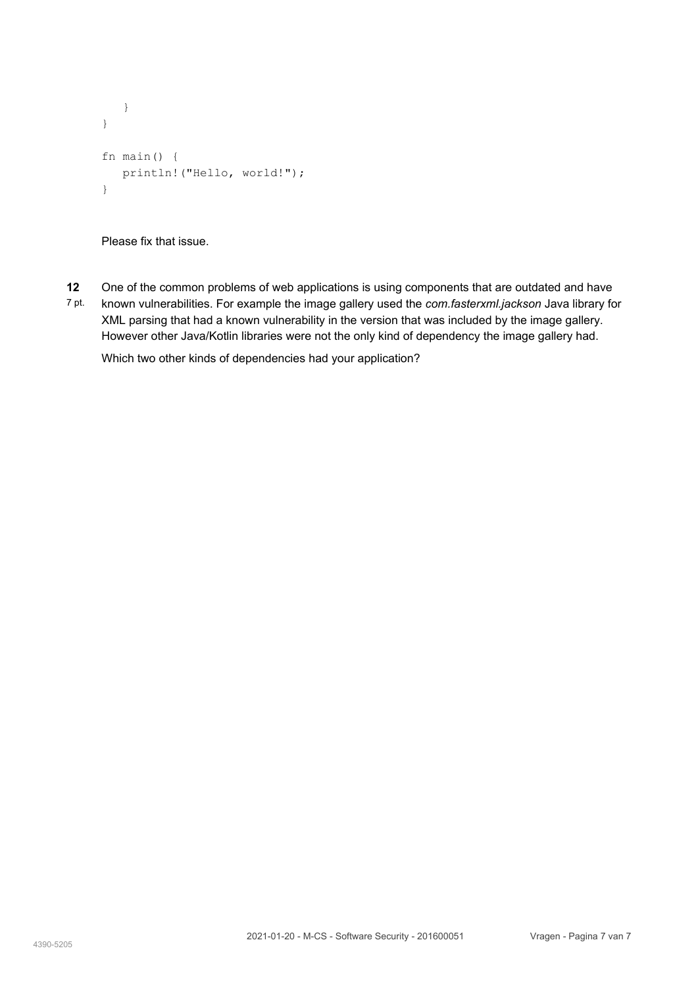```
}
}
fn main() {
  println!("Hello, world!");
}
```
Please fix that issue.

One of the common problems of web applications is using components that are outdated and have known vulnerabilities. For example the image gallery used the *com.fasterxml.jackson* Java library for XML parsing that had a known vulnerability in the version that was included by the image gallery. However other Java/Kotlin libraries were not the only kind of dependency the image gallery had. **12** 7 pt.

<span id="page-7-0"></span>Which two other kinds of dependencies had your application?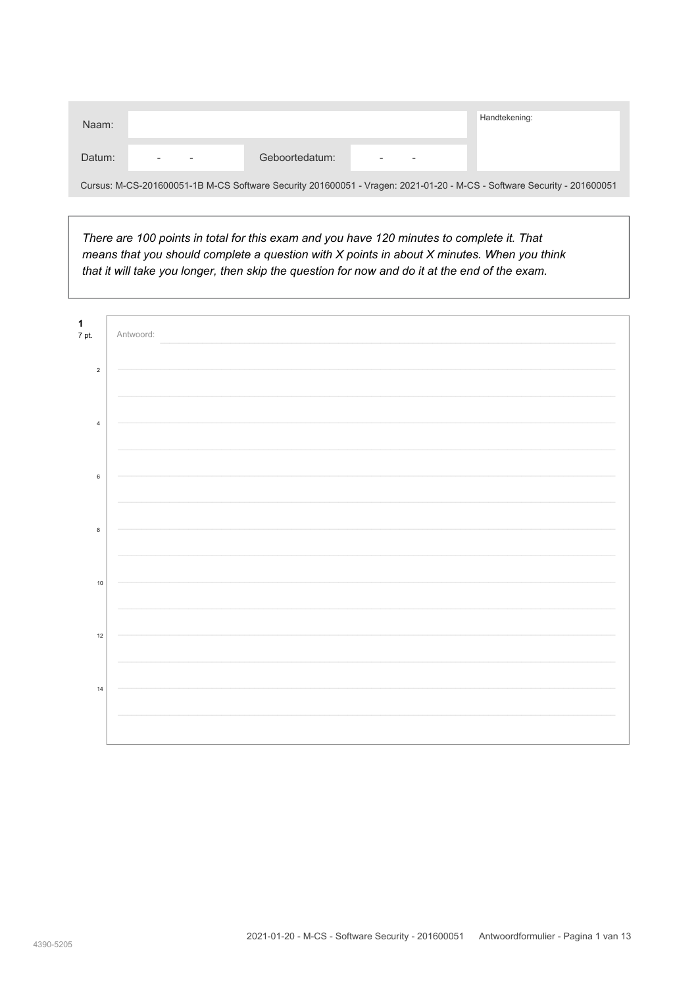<span id="page-8-0"></span>

| Naam:  |                          |                |                          | Handtekening:                                                                                                          |
|--------|--------------------------|----------------|--------------------------|------------------------------------------------------------------------------------------------------------------------|
| Datum: | $\overline{\phantom{a}}$ | Geboortedatum: | $\overline{\phantom{0}}$ |                                                                                                                        |
|        |                          |                |                          | Cursus: M-CS-201600051-1B M-CS Software Security 201600051 - Vragen: 2021-01-20 - M-CS - Software Security - 201600051 |

There are 100 points in total for this exam and you have 120 minutes to complete it. That means that you should complete a question with X points in about X minutes. When you think that it will take you longer, then skip the question for now and do it at the end of the exam.

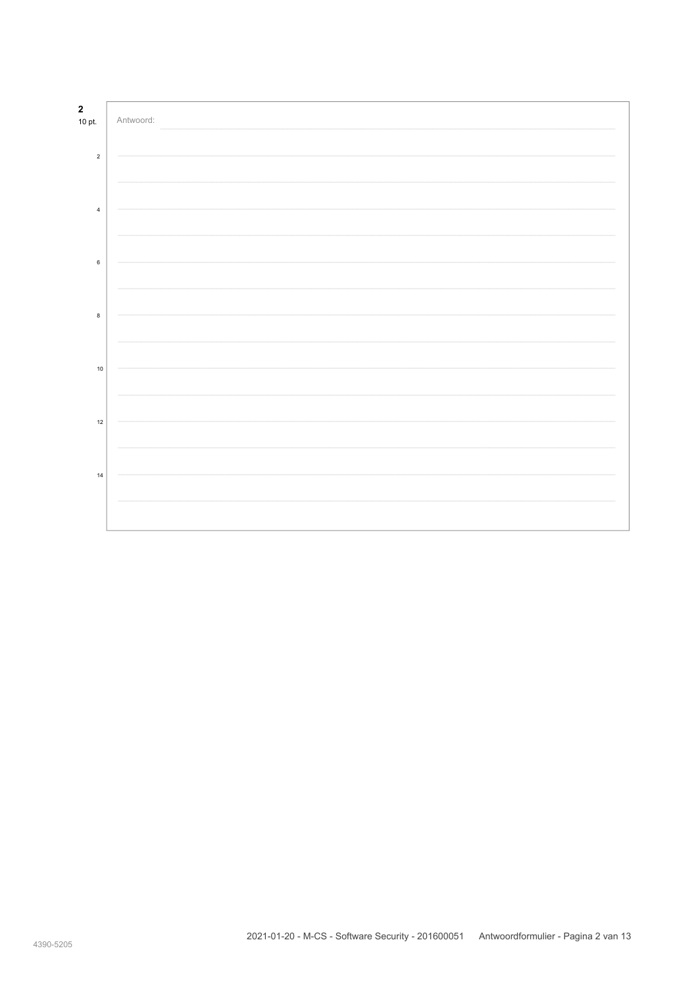| $\mathbf 2$<br>10 pt. | Antwoord: |
|-----------------------|-----------|
| $\sqrt{2}$            |           |
|                       |           |
| $\overline{4}$        |           |
| $\,6\,$               |           |
|                       |           |
| $\bf8$                |           |
| $10$                  |           |
|                       |           |
| 12                    |           |
| 14                    |           |
|                       |           |
|                       |           |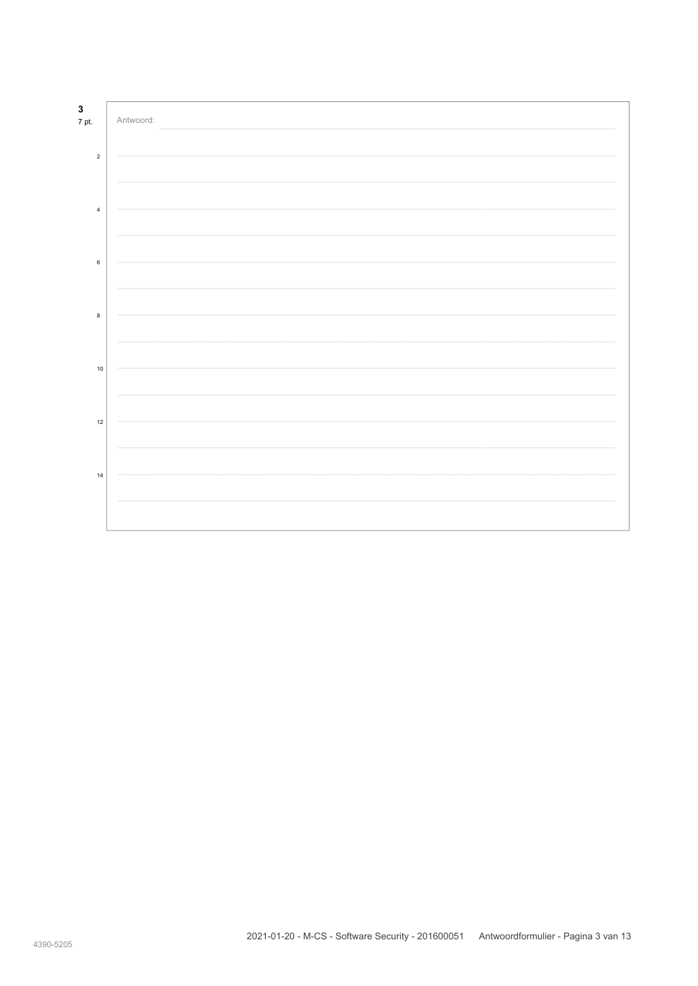| $\mathbf 3$<br>7 pt. | Antwoord: |
|----------------------|-----------|
| $\overline{2}$       |           |
|                      |           |
| $\sqrt{4}$           |           |
|                      |           |
| $\bf 6$              |           |
|                      |           |
| 8                    |           |
|                      |           |
| $10$                 |           |
|                      |           |
| 12                   |           |
|                      |           |
| 14                   |           |
|                      |           |
|                      |           |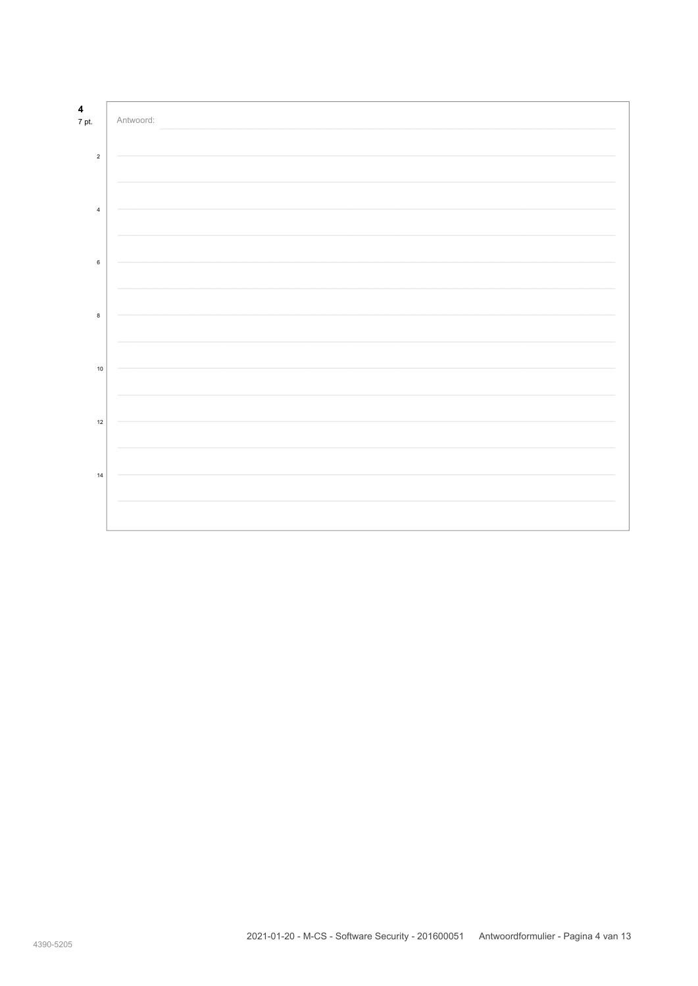| $\overline{\mathbf{4}}$<br>7 pt. | Antwoord: |
|----------------------------------|-----------|
| $\overline{2}$                   |           |
|                                  |           |
| $\sqrt{4}$                       |           |
|                                  |           |
|                                  |           |
| $\bf 6$                          |           |
|                                  |           |
| 8                                |           |
|                                  |           |
| $10$                             |           |
|                                  |           |
| 12                               |           |
|                                  |           |
| 14                               |           |
|                                  |           |
|                                  |           |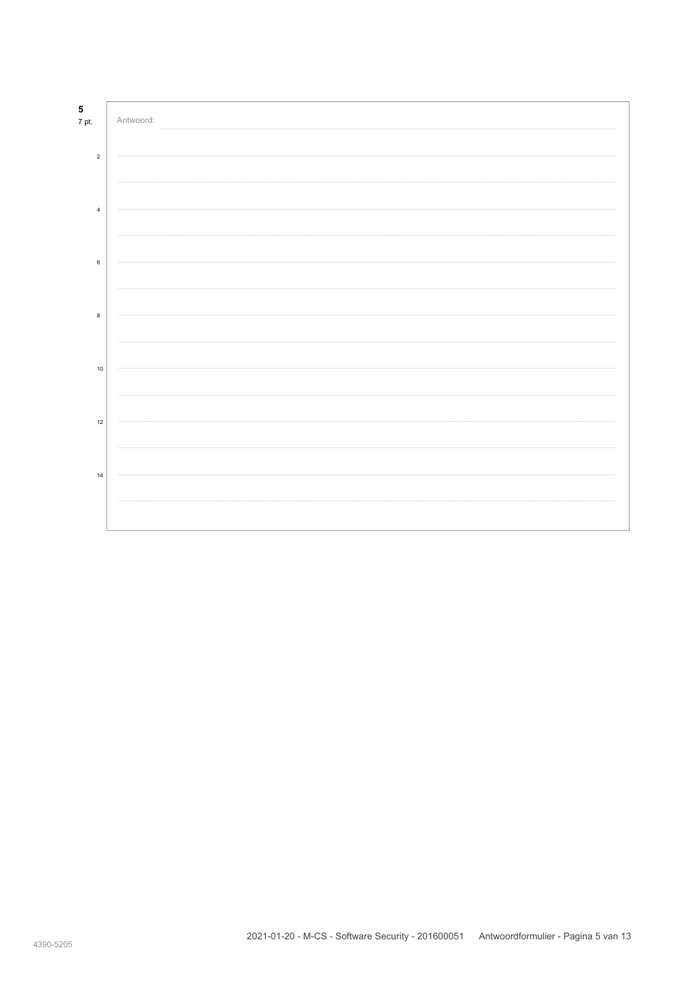| ${\bf 5}$<br>7 pt.      | Antwoord: |
|-------------------------|-----------|
| $\overline{2}$          |           |
|                         |           |
| $\overline{\mathbf{4}}$ |           |
|                         |           |
| $\bf 6$                 |           |
|                         |           |
| $\bf8$                  |           |
|                         |           |
| 10                      |           |
| $12$                    |           |
|                         |           |
| 14                      |           |
|                         |           |
|                         |           |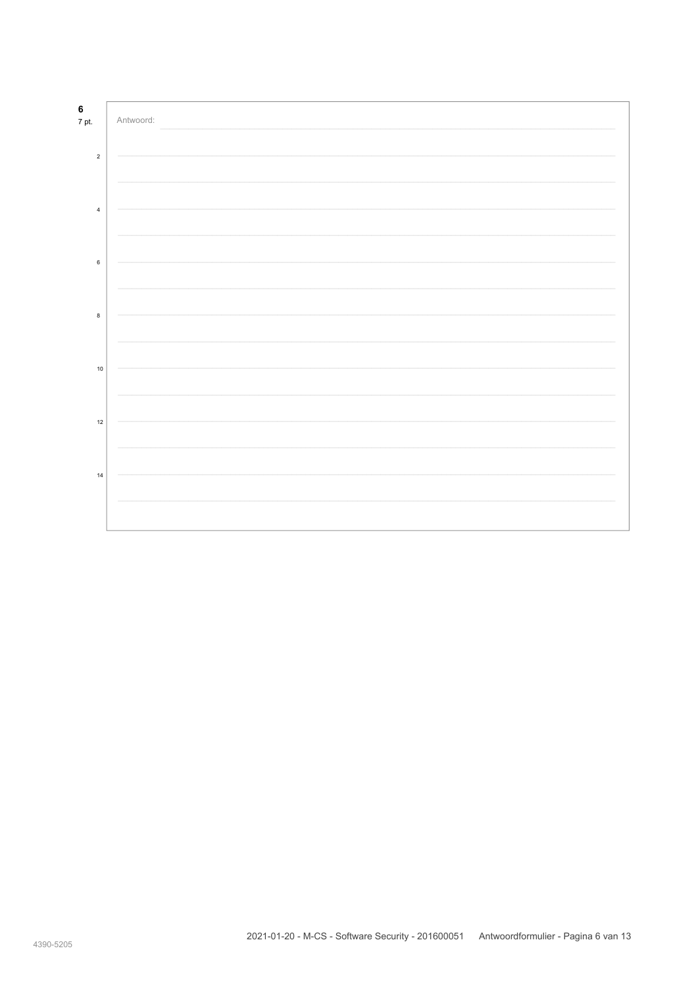| $\bf 6$        | Antwoord: |
|----------------|-----------|
| 7 pt.          |           |
|                |           |
| $\overline{2}$ |           |
|                |           |
|                |           |
| $\sqrt{4}$     |           |
|                |           |
|                |           |
| $\bf 6$        |           |
|                |           |
|                |           |
| 8              |           |
|                |           |
|                |           |
|                |           |
| $10$           |           |
|                |           |
|                |           |
| 12             |           |
|                |           |
|                |           |
| 14             |           |
|                |           |
|                |           |
|                |           |
|                |           |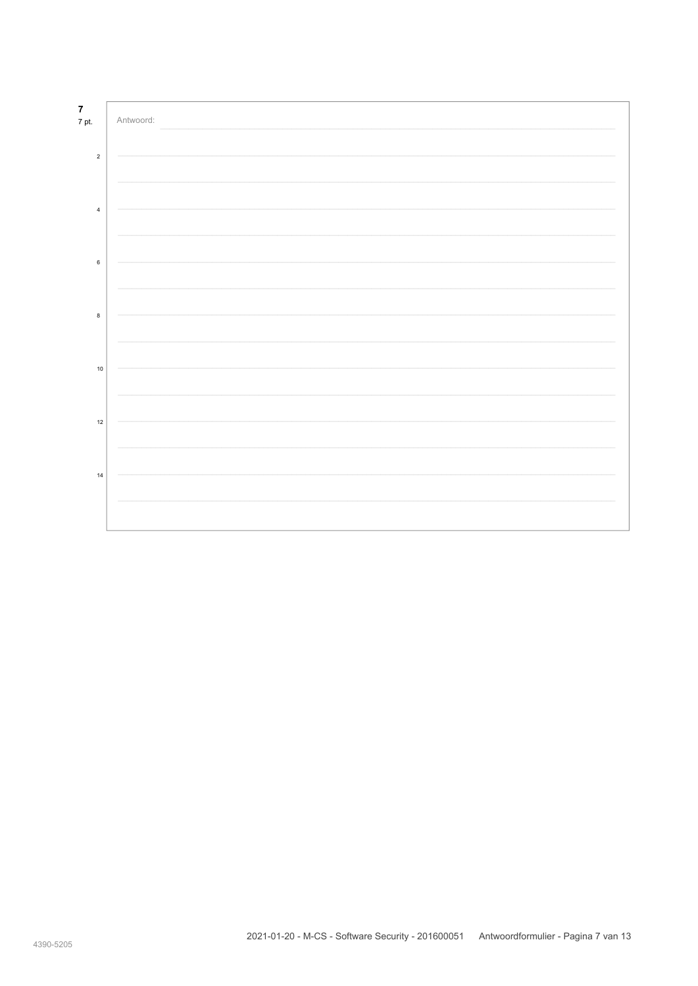| $\pmb{7}$<br>7 pt.      | Antwoord: |
|-------------------------|-----------|
| $\overline{2}$          |           |
|                         |           |
| $\overline{\mathbf{4}}$ |           |
| $\bf 6$                 |           |
|                         |           |
| $\bf8$                  |           |
|                         |           |
| 10                      |           |
| $12$                    |           |
|                         |           |
| 14                      |           |
|                         |           |
|                         |           |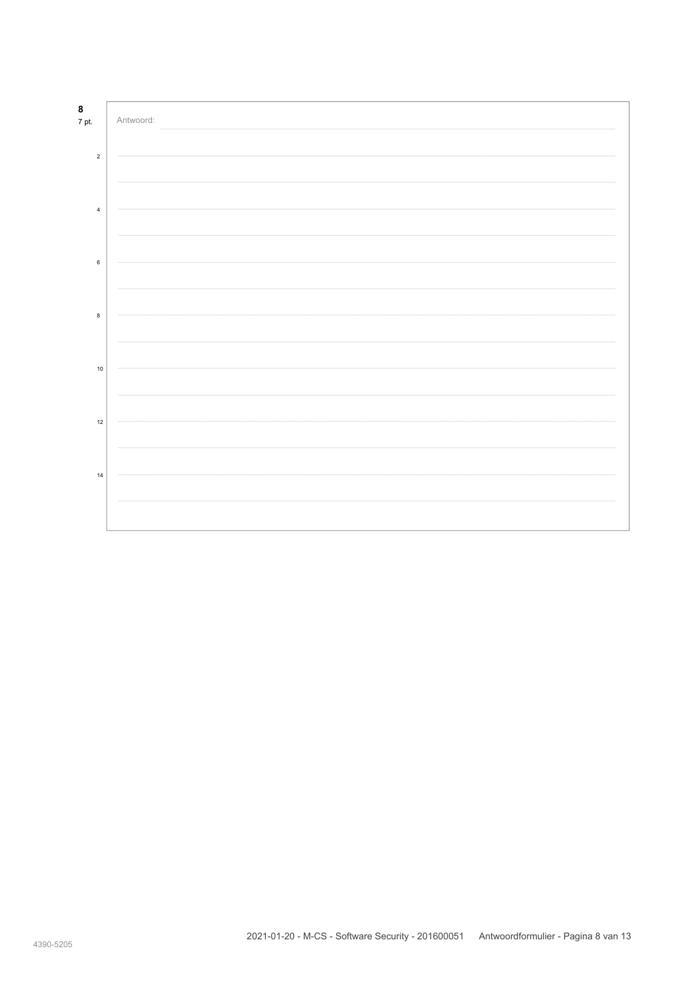| $\bf8$         |           |
|----------------|-----------|
| 7 pt.          | Antwoord: |
|                |           |
|                |           |
| $\overline{2}$ |           |
|                |           |
|                |           |
|                |           |
|                |           |
|                |           |
| $\sqrt{4}$     |           |
|                |           |
|                |           |
|                |           |
|                |           |
| $\bf 6$        |           |
|                |           |
|                |           |
|                |           |
|                |           |
| 8              |           |
|                |           |
|                |           |
|                |           |
|                |           |
|                |           |
| $10$           |           |
|                |           |
|                |           |
|                |           |
|                |           |
| 12             |           |
|                |           |
|                |           |
|                |           |
|                |           |
| 14             |           |
|                |           |
|                |           |
|                |           |
|                |           |
|                |           |
|                |           |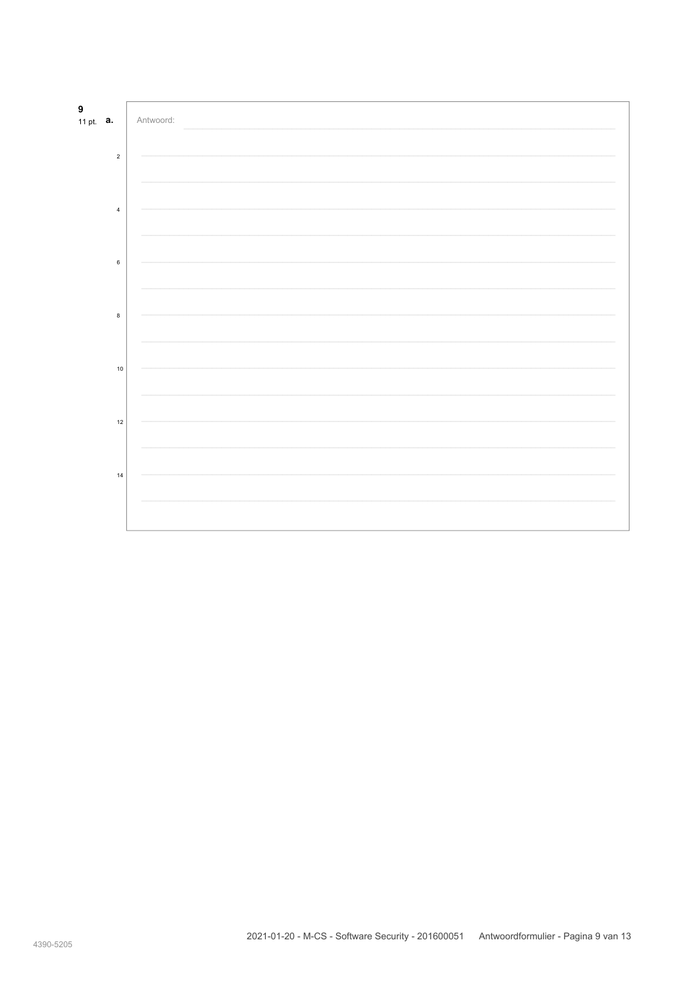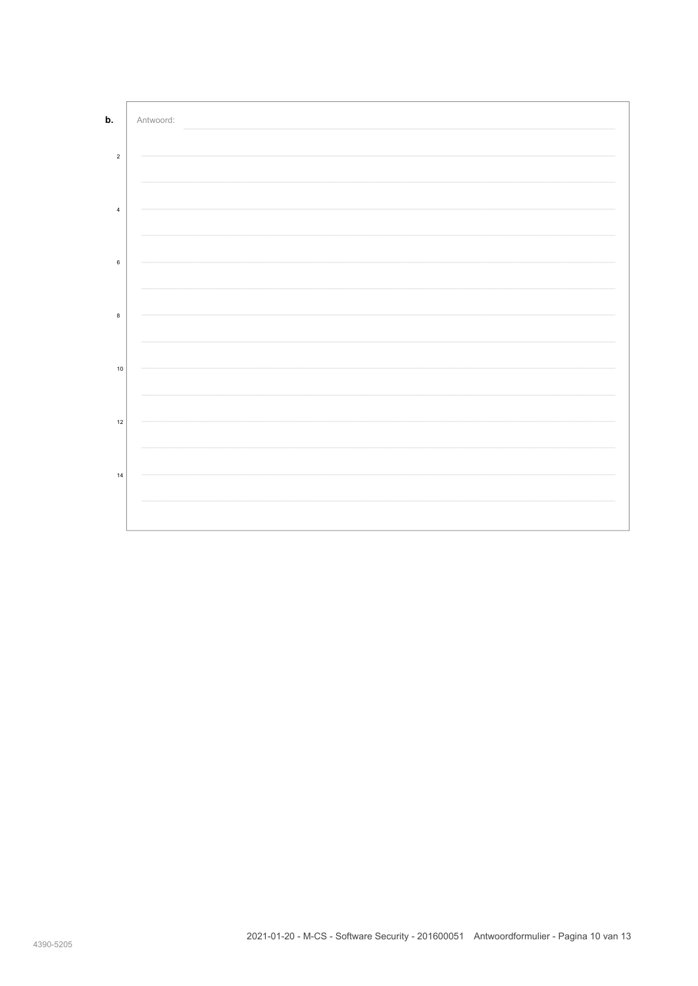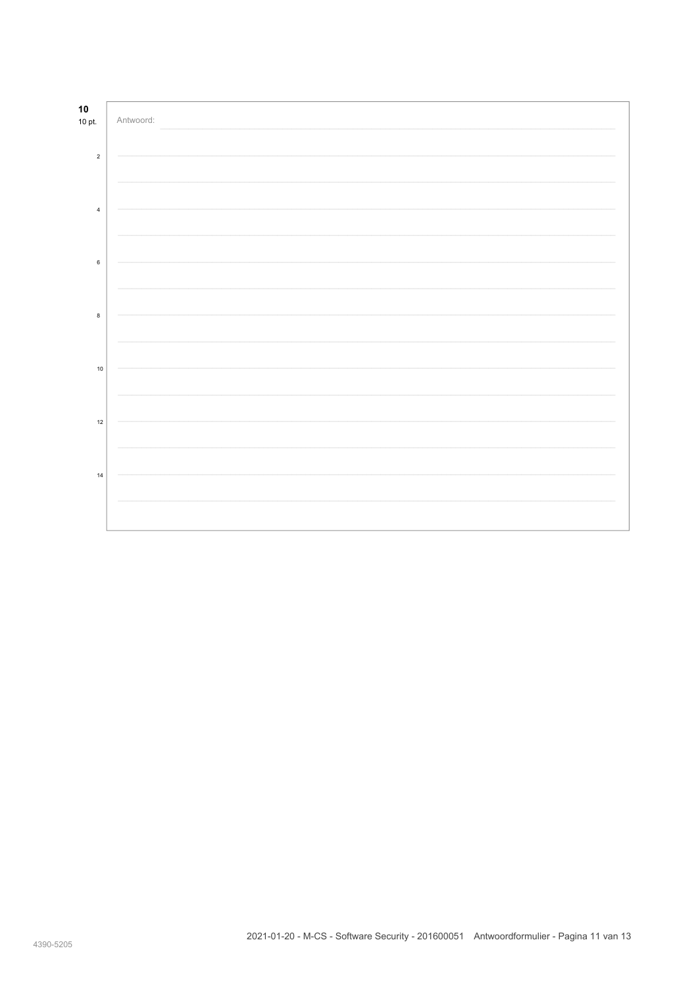| ${\bf 10}$<br>10 pt. | Antwoord: |
|----------------------|-----------|
| $\overline{2}$       |           |
|                      |           |
| $\overline{4}$       |           |
|                      |           |
| $\,6\,$              |           |
|                      |           |
| 8                    |           |
| 10                   |           |
|                      |           |
| 12                   |           |
|                      |           |
| 14                   |           |
|                      |           |
|                      |           |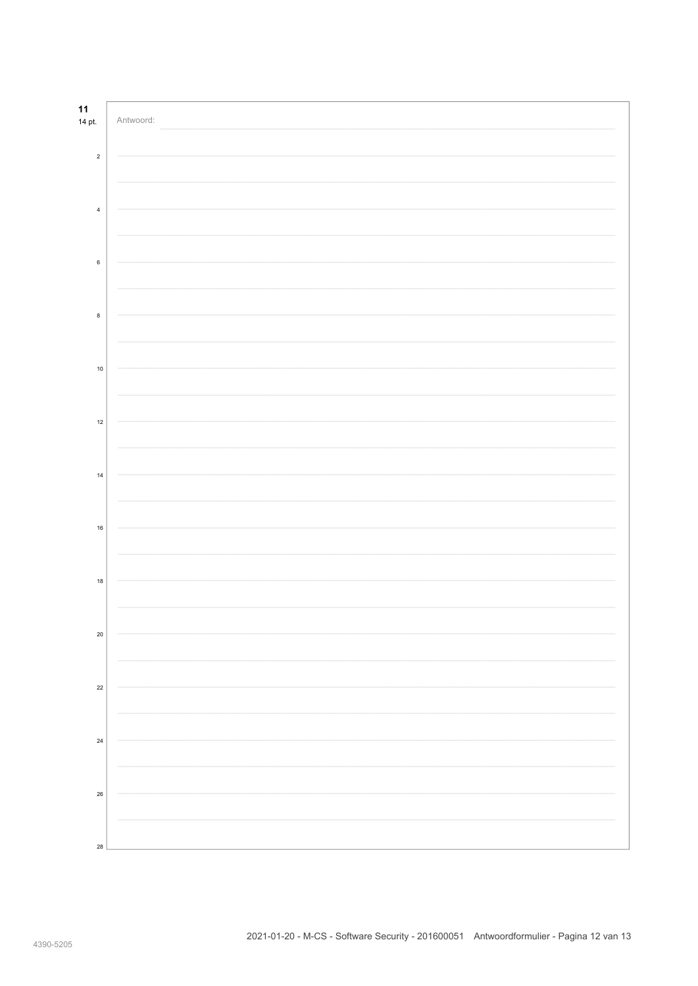| $11$<br>14 pt. | Antwoord: |
|----------------|-----------|
|                |           |
| $\sqrt{2}$     |           |
|                |           |
| $\pmb{4}$      |           |
| $\,6\,$        |           |
|                |           |
| $\bf8$         |           |
|                |           |
| $10\,$         |           |
|                |           |
| $12\,$         |           |
|                |           |
| 14             |           |
|                |           |
| $16\,$         |           |
|                |           |
| $18\,$         |           |
|                |           |
| $20\,$         |           |
|                |           |
| $22\,$         |           |
|                |           |
| 24             |           |
|                |           |
| ${\bf 26}$     |           |
|                |           |
| 28             |           |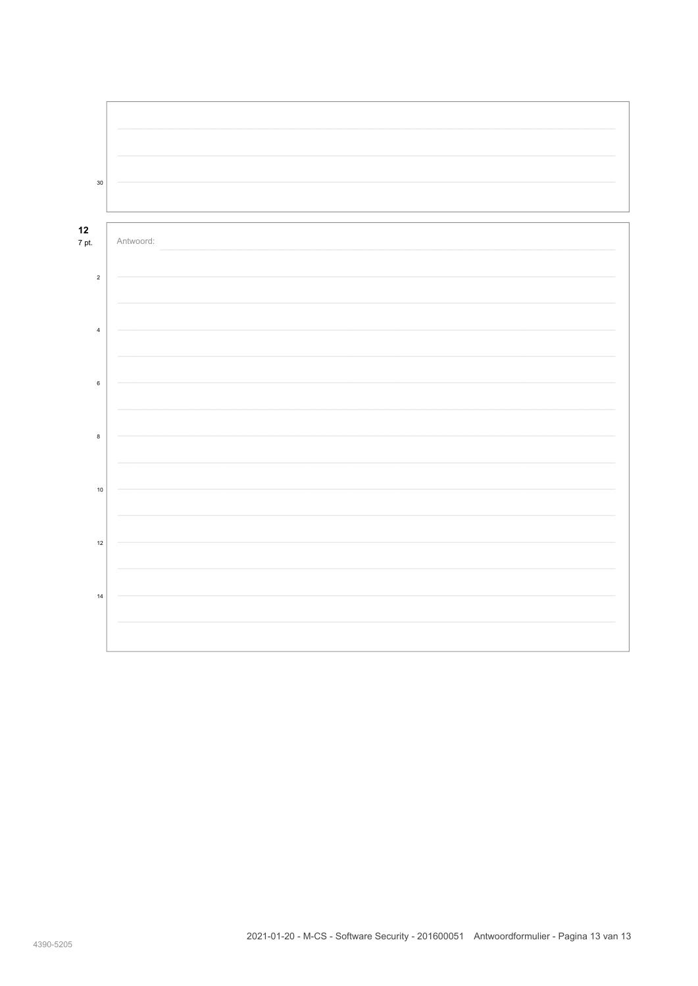<span id="page-20-0"></span>

| $30\,$      |           |
|-------------|-----------|
|             |           |
| $12$        |           |
| 7 pt.       | Antwoord: |
| $\mathbf 2$ |           |
|             |           |
|             |           |
| $\pmb{4}$   |           |
|             |           |
| $\mathbf 6$ |           |
|             |           |
| $\bf8$      |           |
|             |           |
| $10\,$      |           |
|             |           |
|             |           |
| $12\,$      |           |
|             |           |
| $14$        |           |
|             |           |
|             |           |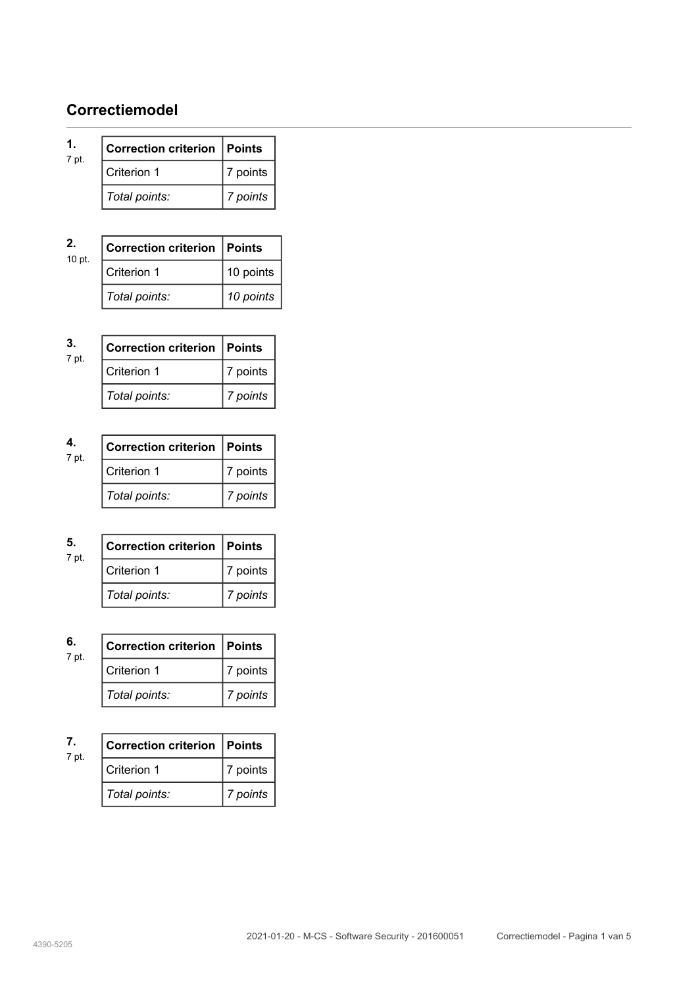## <span id="page-21-0"></span>**Correctiemodel**

| 1.<br>7 pt. | Correction criterion   Points |             |
|-------------|-------------------------------|-------------|
|             | Criterion 1                   | $ 7$ points |
|             | Total points:                 | 7 points    |

| 2.<br>10 pt. | Correction criterion   Points |           |
|--------------|-------------------------------|-----------|
|              | Criterion 1                   | 10 points |
|              | Total points:                 | 10 points |

| З.<br>7 pt. | <b>Correction criterion Points</b> |          |
|-------------|------------------------------------|----------|
|             | Criterion 1                        | 7 points |
|             | Total points:                      | 7 points |

| 7 pt. | <b>Correction criterion Points</b> |          |
|-------|------------------------------------|----------|
|       | Criterion 1                        | 7 points |
|       | Total points:                      | 7 points |

| 5.<br>7 pt. | Correction criterion   Points |          |
|-------------|-------------------------------|----------|
|             | Criterion 1                   | 7 points |
|             | Total points:                 | 7 points |

| 6.<br>7 pt. | Correction criterion   Points |          |
|-------------|-------------------------------|----------|
|             | Criterion 1                   | 7 points |
|             | Total points:                 | 7 points |

| 7 pt. | Correction criterion   Points |          |
|-------|-------------------------------|----------|
|       | Criterion 1                   | 7 points |
|       | Total points:                 | 7 points |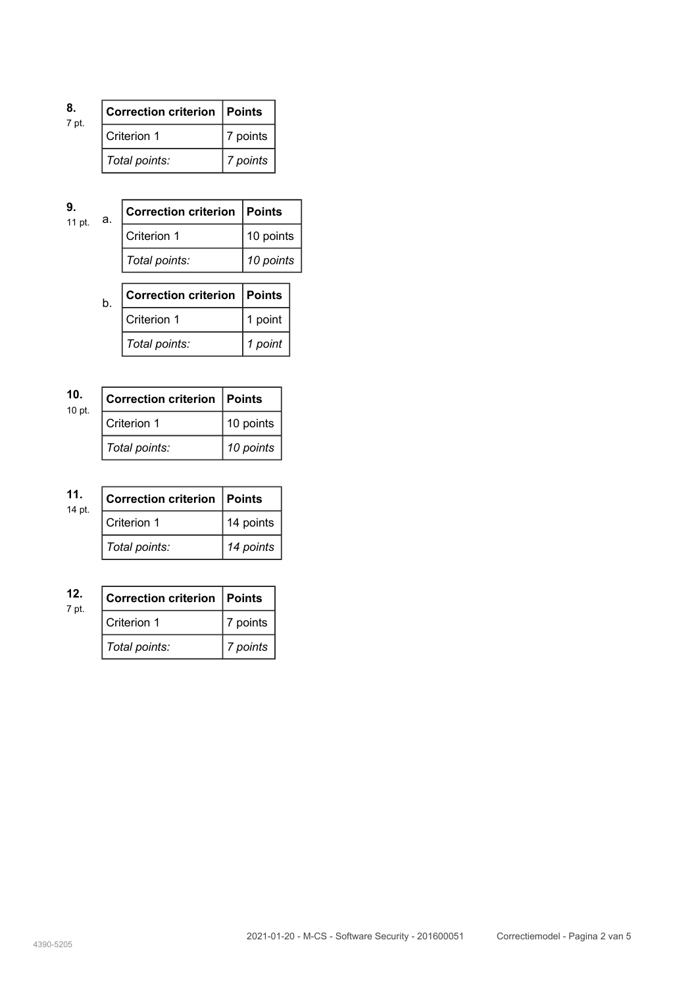| 8.<br>7 pt. | Correction criterion   Points |          |
|-------------|-------------------------------|----------|
|             | Criterion 1                   | 7 points |
|             | Total points:                 | 7 points |

| 9.<br>11 pt. | а. | Correction criterion   Points |           |
|--------------|----|-------------------------------|-----------|
|              |    | Criterion 1                   | 10 points |
|              |    | Total points:                 | 10 points |

| b. | Correction criterion   Points |         |
|----|-------------------------------|---------|
|    | Criterion 1                   | 1 point |
|    | Total points:                 | 1 point |

| 10.<br>10 pt. | Correction criterion Points |           |
|---------------|-----------------------------|-----------|
|               | Criterion 1                 | 10 points |
|               | Total points:               | 10 points |

| 11.<br>14 pt. | Correction criterion   Points |           |
|---------------|-------------------------------|-----------|
|               | Criterion 1                   | 14 points |
|               | Total points:                 | 14 points |

| 12.<br>7 pt. | Correction criterion   Points |          |
|--------------|-------------------------------|----------|
|              | Criterion 1                   | 7 points |
|              | Total points:                 | 7 points |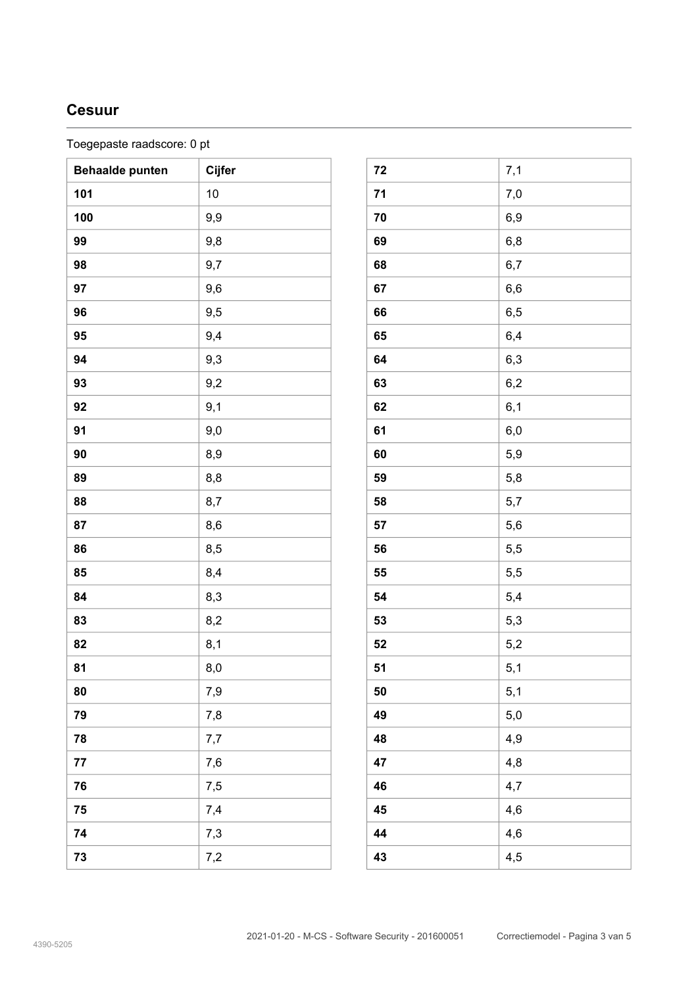### **Cesuur**

Toegepaste raadscore: 0 pt

| <b>Behaalde punten</b> | Cijfer |
|------------------------|--------|
| 101                    | 10     |
| 100                    | 9,9    |
| 99                     | 9,8    |
| 98                     | 9,7    |
| 97                     | 9,6    |
| 96                     | 9,5    |
| 95                     | 9,4    |
| 94                     | 9,3    |
| 93                     | 9,2    |
| 92                     | 9,1    |
| 91                     | 9,0    |
| 90                     | 8,9    |
| 89                     | 8,8    |
| 88                     | 8,7    |
| 87                     | 8,6    |
| 86                     | 8,5    |
| 85                     | 8,4    |
| 84                     | 8,3    |
| 83                     | 8,2    |
| 82                     | 8,1    |
| 81                     | 8,0    |
| 80                     | 7,9    |
| 79                     | 7,8    |
| 78                     | 7,7    |
| 77                     | 7,6    |
| 76                     | 7,5    |
| 75                     | 7,4    |
| 74                     | 7,3    |
| 73                     | 7,2    |

| 72 | 7,1 |
|----|-----|
| 71 | 7,0 |
| 70 | 6,9 |
| 69 | 6,8 |
| 68 | 6,7 |
| 67 | 6,6 |
| 66 | 6,5 |
| 65 | 6,4 |
| 64 | 6,3 |
| 63 | 6,2 |
| 62 | 6,1 |
| 61 | 6,0 |
| 60 | 5,9 |
| 59 | 5,8 |
| 58 | 5,7 |
| 57 | 5,6 |
| 56 | 5,5 |
| 55 | 5,5 |
| 54 | 5,4 |
| 53 | 5,3 |
| 52 | 5,2 |
| 51 | 5,1 |
| 50 | 5,1 |
| 49 | 5,0 |
| 48 | 4,9 |
| 47 | 4,8 |
| 46 | 4,7 |
| 45 | 4,6 |
| 44 | 4,6 |
| 43 | 4,5 |
|    |     |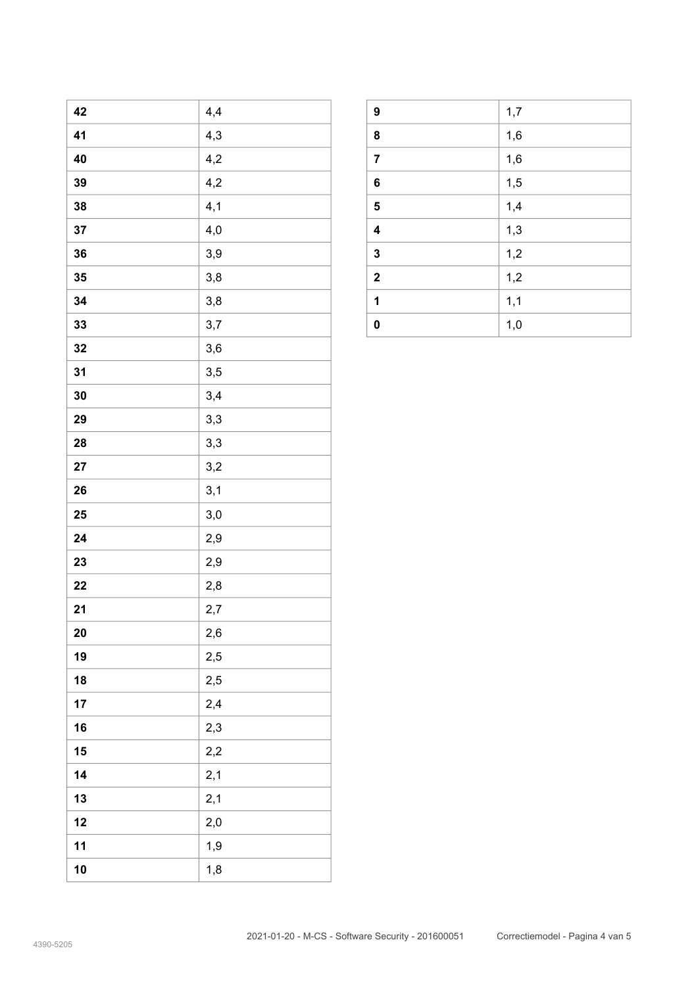| 42 | 4,4 |
|----|-----|
| 41 | 4,3 |
| 40 | 4,2 |
| 39 | 4,2 |
| 38 | 4,1 |
| 37 | 4,0 |
| 36 | 3,9 |
| 35 | 3,8 |
| 34 | 3,8 |
| 33 | 3,7 |
| 32 | 3,6 |
| 31 | 3,5 |
| 30 | 3,4 |
| 29 | 3,3 |
| 28 | 3,3 |
| 27 | 3,2 |
| 26 | 3,1 |
| 25 | 3,0 |
| 24 | 2,9 |
| 23 | 2,9 |
| 22 | 2,8 |
| 21 | 2,7 |
| 20 | 2,6 |
| 19 | 2,5 |
| 18 | 2,5 |
| 17 | 2,4 |
| 16 | 2,3 |
| 15 | 2,2 |
| 14 | 2,1 |
| 13 | 2,1 |
| 12 | 2,0 |
| 11 | 1,9 |
| 10 | 1,8 |

| 9                       | 1,7 |
|-------------------------|-----|
| 8                       | 1,6 |
| $\overline{7}$          | 1,6 |
| 6                       | 1,5 |
| $\overline{\mathbf{5}}$ | 1,4 |
| $\overline{\mathbf{4}}$ | 1,3 |
| $\mathbf{3}$            | 1,2 |
| $\mathbf{2}$            | 1,2 |
| 1                       | 1,1 |
| $\bf{0}$                | 1,0 |